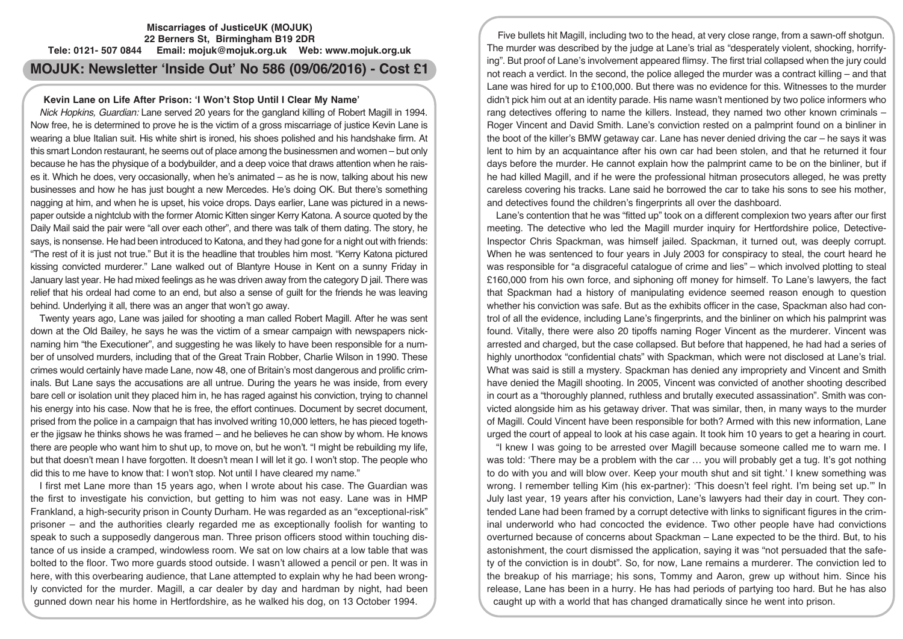#### **Miscarriages of JusticeUK (MOJUK) 22 Berners St, Birmingham B19 2DR Tele: 0121- 507 0844 Email: mojuk@mojuk.org.uk Web: www.mojuk.org.uk**

# **MOJUK: Newsletter 'Inside Out' No 586 (09/06/2016) - Cost £1**

## **Kevin Lane on Life After Prison: 'I Won't Stop Until I Clear My Name'**

*Nick Hopkins, Guardian:* Lane served 20 years for the gangland killing of Robert Magill in 1994. Now free, he is determined to prove he is the victim of a gross miscarriage of justice Kevin Lane is wearing a blue Italian suit. His white shirt is ironed, his shoes polished and his handshake firm. At this smart London restaurant, he seems out of place among the businessmen and women – but only because he has the physique of a bodybuilder, and a deep voice that draws attention when he raises it. Which he does, very occasionally, when he's animated – as he is now, talking about his new businesses and how he has just bought a new Mercedes. He's doing OK. But there's something nagging at him, and when he is upset, his voice drops. Days earlier, Lane was pictured in a newspaper outside a nightclub with the former Atomic Kitten singer Kerry Katona. A source quoted by the Daily Mail said the pair were "all over each other", and there was talk of them dating. The story, he says, is nonsense. He had been introduced to Katona, and they had gone for a night out with friends: "The rest of it is just not true." But it is the headline that troubles him most. "Kerry Katona pictured kissing convicted murderer." Lane walked out of Blantyre House in Kent on a sunny Friday in January last year. He had mixed feelings as he was driven away from the category D jail. There was relief that his ordeal had come to an end, but also a sense of guilt for the friends he was leaving behind. Underlying it all, there was an anger that won't go away.

Twenty years ago, Lane was jailed for shooting a man called Robert Magill. After he was sent down at the Old Bailey, he says he was the victim of a smear campaign with newspapers nicknaming him "the Executioner", and suggesting he was likely to have been responsible for a number of unsolved murders, including that of the Great Train Robber, Charlie Wilson in 1990. These crimes would certainly have made Lane, now 48, one of Britain's most dangerous and prolific criminals. But Lane says the accusations are all untrue. During the years he was inside, from every bare cell or isolation unit they placed him in, he has raged against his conviction, trying to channel his energy into his case. Now that he is free, the effort continues. Document by secret document, prised from the police in a campaign that has involved writing 10,000 letters, he has pieced together the jigsaw he thinks shows he was framed – and he believes he can show by whom. He knows there are people who want him to shut up, to move on, but he won't. "I might be rebuilding my life, but that doesn't mean I have forgotten. It doesn't mean I will let it go. I won't stop. The people who did this to me have to know that: I won't stop. Not until I have cleared my name."

I first met Lane more than 15 years ago, when I wrote about his case. The Guardian was the first to investigate his conviction, but getting to him was not easy. Lane was in HMP Frankland, a high-security prison in County Durham. He was regarded as an "exceptional-risk" prisoner – and the authorities clearly regarded me as exceptionally foolish for wanting to speak to such a supposedly dangerous man. Three prison officers stood within touching distance of us inside a cramped, windowless room. We sat on low chairs at a low table that was bolted to the floor. Two more guards stood outside. I wasn't allowed a pencil or pen. It was in here, with this overbearing audience, that Lane attempted to explain why he had been wrongly convicted for the murder. Magill, a car dealer by day and hardman by night, had been gunned down near his home in Hertfordshire, as he walked his dog, on 13 October 1994.

Five bullets hit Magill, including two to the head, at very close range, from a sawn-off shotgun. The murder was described by the judge at Lane's trial as "desperately violent, shocking, horrifying". But proof of Lane's involvement appeared flimsy. The first trial collapsed when the jury could not reach a verdict. In the second, the police alleged the murder was a contract killing – and that Lane was hired for up to £100,000. But there was no evidence for this. Witnesses to the murder didn't pick him out at an identity parade. His name wasn't mentioned by two police informers who rang detectives offering to name the killers. Instead, they named two other known criminals – Roger Vincent and David Smith. Lane's conviction rested on a palmprint found on a binliner in the boot of the killer's BMW getaway car. Lane has never denied driving the car – he says it was lent to him by an acquaintance after his own car had been stolen, and that he returned it four days before the murder. He cannot explain how the palmprint came to be on the binliner, but if he had killed Magill, and if he were the professional hitman prosecutors alleged, he was pretty careless covering his tracks. Lane said he borrowed the car to take his sons to see his mother, and detectives found the children's fingerprints all over the dashboard.

Lane's contention that he was "fitted up" took on a different complexion two years after our first meeting. The detective who led the Magill murder inquiry for Hertfordshire police, Detective-Inspector Chris Spackman, was himself jailed. Spackman, it turned out, was deeply corrupt. When he was sentenced to four years in July 2003 for conspiracy to steal, the court heard he was responsible for "a disgraceful catalogue of crime and lies" – which involved plotting to steal £160,000 from his own force, and siphoning off money for himself. To Lane's lawyers, the fact that Spackman had a history of manipulating evidence seemed reason enough to question whether his conviction was safe. But as the exhibits officer in the case, Spackman also had control of all the evidence, including Lane's fingerprints, and the binliner on which his palmprint was found. Vitally, there were also 20 tipoffs naming Roger Vincent as the murderer. Vincent was arrested and charged, but the case collapsed. But before that happened, he had had a series of highly unorthodox "confidential chats" with Spackman, which were not disclosed at Lane's trial. What was said is still a mystery. Spackman has denied any impropriety and Vincent and Smith have denied the Magill shooting. In 2005, Vincent was convicted of another shooting described in court as a "thoroughly planned, ruthless and brutally executed assassination". Smith was convicted alongside him as his getaway driver. That was similar, then, in many ways to the murder of Magill. Could Vincent have been responsible for both? Armed with this new information, Lane urged the court of appeal to look at his case again. It took him 10 years to get a hearing in court.

"I knew I was going to be arrested over Magill because someone called me to warn me. I was told: 'There may be a problem with the car … you will probably get a tug. It's got nothing to do with you and will blow over. Keep your mouth shut and sit tight.' I knew something was wrong. I remember telling Kim (his ex-partner): 'This doesn't feel right. I'm being set up.'" In July last year, 19 years after his conviction, Lane's lawyers had their day in court. They contended Lane had been framed by a corrupt detective with links to significant figures in the criminal underworld who had concocted the evidence. Two other people have had convictions overturned because of concerns about Spackman – Lane expected to be the third. But, to his astonishment, the court dismissed the application, saying it was "not persuaded that the safety of the conviction is in doubt". So, for now, Lane remains a murderer. The conviction led to the breakup of his marriage; his sons, Tommy and Aaron, grew up without him. Since his release, Lane has been in a hurry. He has had periods of partying too hard. But he has also caught up with a world that has changed dramatically since he went into prison.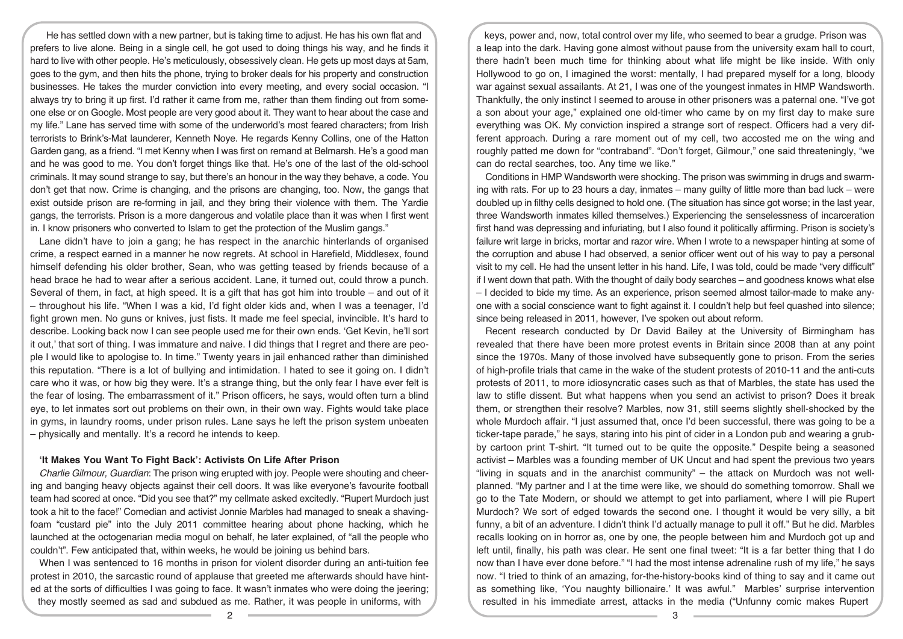He has settled down with a new partner, but is taking time to adjust. He has his own flat and prefers to live alone. Being in a single cell, he got used to doing things his way, and he finds it hard to live with other people. He's meticulously, obsessively clean. He gets up most days at 5am, goes to the gym, and then hits the phone, trying to broker deals for his property and construction businesses. He takes the murder conviction into every meeting, and every social occasion. "I always try to bring it up first. I'd rather it came from me, rather than them finding out from someone else or on Google. Most people are very good about it. They want to hear about the case and my life." Lane has served time with some of the underworld's most feared characters; from Irish terrorists to Brink's-Mat launderer, Kenneth Noye. He regards Kenny Collins, one of the Hatton Garden gang, as a friend. "I met Kenny when I was first on remand at Belmarsh. He's a good man and he was good to me. You don't forget things like that. He's one of the last of the old-school criminals. It may sound strange to say, but there's an honour in the way they behave, a code. You don't get that now. Crime is changing, and the prisons are changing, too. Now, the gangs that exist outside prison are re-forming in jail, and they bring their violence with them. The Yardie gangs, the terrorists. Prison is a more dangerous and volatile place than it was when I first went in. I know prisoners who converted to Islam to get the protection of the Muslim gangs."

Lane didn't have to join a gang; he has respect in the anarchic hinterlands of organised crime, a respect earned in a manner he now regrets. At school in Harefield, Middlesex, found himself defending his older brother, Sean, who was getting teased by friends because of a head brace he had to wear after a serious accident. Lane, it turned out, could throw a punch. Several of them, in fact, at high speed. It is a gift that has got him into trouble – and out of it – throughout his life. "When I was a kid, I'd fight older kids and, when I was a teenager, I'd fight grown men. No guns or knives, just fists. It made me feel special, invincible. It's hard to describe. Looking back now I can see people used me for their own ends. 'Get Kevin, he'll sort it out,' that sort of thing. I was immature and naive. I did things that I regret and there are people I would like to apologise to. In time." Twenty years in jail enhanced rather than diminished this reputation. "There is a lot of bullying and intimidation. I hated to see it going on. I didn't care who it was, or how big they were. It's a strange thing, but the only fear I have ever felt is the fear of losing. The embarrassment of it." Prison officers, he says, would often turn a blind eye, to let inmates sort out problems on their own, in their own way. Fights would take place in gyms, in laundry rooms, under prison rules. Lane says he left the prison system unbeaten – physically and mentally. It's a record he intends to keep.

## **'It Makes You Want To Fight Back': Activists On Life After Prison**

*Charlie Gilmour, Guardian*: The prison wing erupted with joy. People were shouting and cheering and banging heavy objects against their cell doors. It was like everyone's favourite football team had scored at once. "Did you see that?" my cellmate asked excitedly. "Rupert Murdoch just took a hit to the face!" Comedian and activist Jonnie Marbles had managed to sneak a shavingfoam "custard pie" into the July 2011 committee hearing about phone hacking, which he launched at the octogenarian media mogul on behalf, he later explained, of "all the people who couldn't". Few anticipated that, within weeks, he would be joining us behind bars.

When I was sentenced to 16 months in prison for violent disorder during an anti-tuition fee protest in 2010, the sarcastic round of applause that greeted me afterwards should have hinted at the sorts of difficulties I was going to face. It wasn't inmates who were doing the jeering; they mostly seemed as sad and subdued as me. Rather, it was people in uniforms, with

keys, power and, now, total control over my life, who seemed to bear a grudge. Prison was a leap into the dark. Having gone almost without pause from the university exam hall to court, there hadn't been much time for thinking about what life might be like inside. With only Hollywood to go on, I imagined the worst: mentally, I had prepared myself for a long, bloody war against sexual assailants. At 21, I was one of the youngest inmates in HMP Wandsworth. Thankfully, the only instinct I seemed to arouse in other prisoners was a paternal one. "I've got a son about your age," explained one old-timer who came by on my first day to make sure everything was OK. My conviction inspired a strange sort of respect. Officers had a very different approach. During a rare moment out of my cell, two accosted me on the wing and roughly patted me down for "contraband". "Don't forget, Gilmour," one said threateningly, "we can do rectal searches, too. Any time we like."

Conditions in HMP Wandsworth were shocking. The prison was swimming in drugs and swarming with rats. For up to 23 hours a day, inmates – many guilty of little more than bad luck – were doubled up in filthy cells designed to hold one. (The situation has since got worse; in the last year, three Wandsworth inmates killed themselves.) Experiencing the senselessness of incarceration first hand was depressing and infuriating, but I also found it politically affirming. Prison is society's failure writ large in bricks, mortar and razor wire. When I wrote to a newspaper hinting at some of the corruption and abuse I had observed, a senior officer went out of his way to pay a personal visit to my cell. He had the unsent letter in his hand. Life, I was told, could be made "very difficult" if I went down that path. With the thought of daily body searches – and goodness knows what else – I decided to bide my time. As an experience, prison seemed almost tailor-made to make anyone with a social conscience want to fight against it. I couldn't help but feel quashed into silence; since being released in 2011, however, I've spoken out about reform.

Recent research conducted by Dr David Bailey at the University of Birmingham has revealed that there have been more protest events in Britain since 2008 than at any point since the 1970s. Many of those involved have subsequently gone to prison. From the series of high-profile trials that came in the wake of the student protests of 2010-11 and the anti-cuts protests of 2011, to more idiosyncratic cases such as that of Marbles, the state has used the law to stifle dissent. But what happens when you send an activist to prison? Does it break them, or strengthen their resolve? Marbles, now 31, still seems slightly shell-shocked by the whole Murdoch affair. "I just assumed that, once I'd been successful, there was going to be a ticker-tape parade," he says, staring into his pint of cider in a London pub and wearing a grubby cartoon print T-shirt. "It turned out to be quite the opposite." Despite being a seasoned activist – Marbles was a founding member of UK Uncut and had spent the previous two years "living in squats and in the anarchist community" – the attack on Murdoch was not wellplanned. "My partner and I at the time were like, we should do something tomorrow. Shall we go to the Tate Modern, or should we attempt to get into parliament, where I will pie Rupert Murdoch? We sort of edged towards the second one. I thought it would be very silly, a bit funny, a bit of an adventure. I didn't think I'd actually manage to pull it off." But he did. Marbles recalls looking on in horror as, one by one, the people between him and Murdoch got up and left until, finally, his path was clear. He sent one final tweet: "It is a far better thing that I do now than I have ever done before." "I had the most intense adrenaline rush of my life," he says now. "I tried to think of an amazing, for-the-history-books kind of thing to say and it came out as something like, 'You naughty billionaire.' It was awful." Marbles' surprise intervention resulted in his immediate arrest, attacks in the media ("Unfunny comic makes Rupert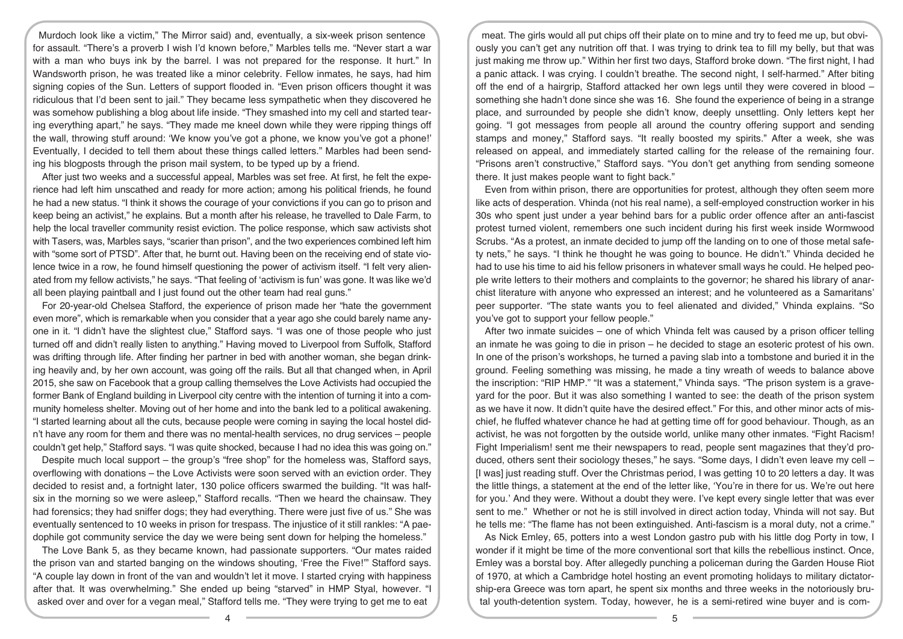Murdoch look like a victim," The Mirror said) and, eventually, a six-week prison sentence for assault. "There's a proverb I wish I'd known before," Marbles tells me. "Never start a war with a man who buys ink by the barrel. I was not prepared for the response. It hurt." In Wandsworth prison, he was treated like a minor celebrity. Fellow inmates, he says, had him signing copies of the Sun. Letters of support flooded in. "Even prison officers thought it was ridiculous that I'd been sent to jail." They became less sympathetic when they discovered he was somehow publishing a blog about life inside. "They smashed into my cell and started tearing everything apart," he says. "They made me kneel down while they were ripping things off the wall, throwing stuff around: 'We know you've got a phone, we know you've got a phone!' Eventually, I decided to tell them about these things called letters." Marbles had been sending his blogposts through the prison mail system, to be typed up by a friend.

After just two weeks and a successful appeal, Marbles was set free. At first, he felt the experience had left him unscathed and ready for more action; among his political friends, he found he had a new status. "I think it shows the courage of your convictions if you can go to prison and keep being an activist," he explains. But a month after his release, he travelled to Dale Farm, to help the local traveller community resist eviction. The police response, which saw activists shot with Tasers, was, Marbles says, "scarier than prison", and the two experiences combined left him with "some sort of PTSD". After that, he burnt out. Having been on the receiving end of state violence twice in a row, he found himself questioning the power of activism itself. "I felt very alienated from my fellow activists," he says. "That feeling of 'activism is fun' was gone. It was like we'd all been playing paintball and I just found out the other team had real guns."

For 20-year-old Chelsea Stafford, the experience of prison made her "hate the government even more", which is remarkable when you consider that a year ago she could barely name anyone in it. "I didn't have the slightest clue," Stafford says. "I was one of those people who just turned off and didn't really listen to anything." Having moved to Liverpool from Suffolk, Stafford was drifting through life. After finding her partner in bed with another woman, she began drinking heavily and, by her own account, was going off the rails. But all that changed when, in April 2015, she saw on Facebook that a group calling themselves the Love Activists had occupied the former Bank of England building in Liverpool city centre with the intention of turning it into a community homeless shelter. Moving out of her home and into the bank led to a political awakening. "I started learning about all the cuts, because people were coming in saying the local hostel didn't have any room for them and there was no mental-health services, no drug services – people couldn't get help," Stafford says. "I was quite shocked, because I had no idea this was going on."

Despite much local support – the group's "free shop" for the homeless was, Stafford says, overflowing with donations – the Love Activists were soon served with an eviction order. They decided to resist and, a fortnight later, 130 police officers swarmed the building. "It was halfsix in the morning so we were asleep," Stafford recalls. "Then we heard the chainsaw. They had forensics; they had sniffer dogs; they had everything. There were just five of us." She was eventually sentenced to 10 weeks in prison for trespass. The injustice of it still rankles: "A paedophile got community service the day we were being sent down for helping the homeless."

The Love Bank 5, as they became known, had passionate supporters. "Our mates raided the prison van and started banging on the windows shouting, 'Free the Five!'" Stafford says. "A couple lay down in front of the van and wouldn't let it move. I started crying with happiness after that. It was overwhelming." She ended up being "starved" in HMP Styal, however. "I asked over and over for a vegan meal," Stafford tells me. "They were trying to get me to eat

meat. The girls would all put chips off their plate on to mine and try to feed me up, but obviously you can't get any nutrition off that. I was trying to drink tea to fill my belly, but that was just making me throw up." Within her first two days, Stafford broke down. "The first night, I had a panic attack. I was crying. I couldn't breathe. The second night, I self-harmed." After biting off the end of a hairgrip, Stafford attacked her own legs until they were covered in blood – something she hadn't done since she was 16. She found the experience of being in a strange place, and surrounded by people she didn't know, deeply unsettling. Only letters kept her going. "I got messages from people all around the country offering support and sending stamps and money," Stafford says. "It really boosted my spirits." After a week, she was released on appeal, and immediately started calling for the release of the remaining four. "Prisons aren't constructive," Stafford says. "You don't get anything from sending someone there. It just makes people want to fight back."

Even from within prison, there are opportunities for protest, although they often seem more like acts of desperation. Vhinda (not his real name), a self-employed construction worker in his 30s who spent just under a year behind bars for a public order offence after an anti-fascist protest turned violent, remembers one such incident during his first week inside Wormwood Scrubs. "As a protest, an inmate decided to jump off the landing on to one of those metal safety nets," he says. "I think he thought he was going to bounce. He didn't." Vhinda decided he had to use his time to aid his fellow prisoners in whatever small ways he could. He helped people write letters to their mothers and complaints to the governor; he shared his library of anarchist literature with anyone who expressed an interest; and he volunteered as a Samaritans' peer supporter. "The state wants you to feel alienated and divided," Vhinda explains. "So you've got to support your fellow people."

After two inmate suicides – one of which Vhinda felt was caused by a prison officer telling an inmate he was going to die in prison – he decided to stage an esoteric protest of his own. In one of the prison's workshops, he turned a paving slab into a tombstone and buried it in the ground. Feeling something was missing, he made a tiny wreath of weeds to balance above the inscription: "RIP HMP." "It was a statement," Vhinda says. "The prison system is a graveyard for the poor. But it was also something I wanted to see: the death of the prison system as we have it now. It didn't quite have the desired effect." For this, and other minor acts of mischief, he fluffed whatever chance he had at getting time off for good behaviour. Though, as an activist, he was not forgotten by the outside world, unlike many other inmates. "Fight Racism! Fight Imperialism! sent me their newspapers to read, people sent magazines that they'd produced, others sent their sociology theses," he says. "Some days, I didn't even leave my cell – [I was] just reading stuff. Over the Christmas period, I was getting 10 to 20 letters a day. It was the little things, a statement at the end of the letter like, 'You're in there for us. We're out here for you.' And they were. Without a doubt they were. I've kept every single letter that was ever sent to me." Whether or not he is still involved in direct action today, Vhinda will not say. But he tells me: "The flame has not been extinguished. Anti-fascism is a moral duty, not a crime."

As Nick Emley, 65, potters into a west London gastro pub with his little dog Porty in tow, I wonder if it might be time of the more conventional sort that kills the rebellious instinct. Once, Emley was a borstal boy. After allegedly punching a policeman during the Garden House Riot of 1970, at which a Cambridge hotel hosting an event promoting holidays to military dictatorship-era Greece was torn apart, he spent six months and three weeks in the notoriously brutal youth-detention system. Today, however, he is a semi-retired wine buyer and is com-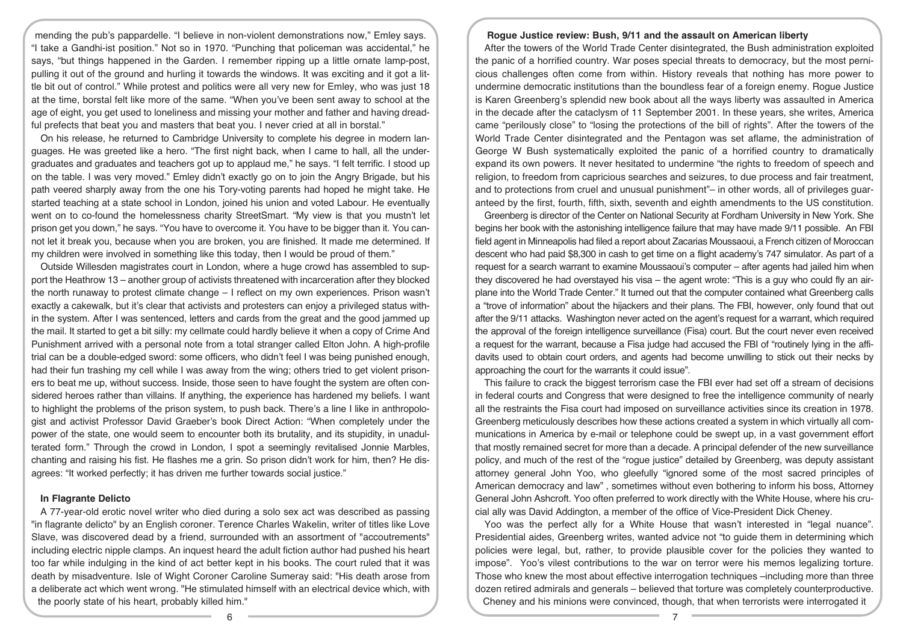mending the pub's pappardelle. "I believe in non-violent demonstrations now," Emley says. "I take a Gandhi-ist position." Not so in 1970. "Punching that policeman was accidental," he says, "but things happened in the Garden. I remember ripping up a little ornate lamp-post, pulling it out of the ground and hurling it towards the windows. It was exciting and it got a little bit out of control." While protest and politics were all very new for Emley, who was just 18 at the time, borstal felt like more of the same. "When you've been sent away to school at the age of eight, you get used to loneliness and missing your mother and father and having dreadful prefects that beat you and masters that beat you. I never cried at all in borstal."

On his release, he returned to Cambridge University to complete his degree in modern languages. He was greeted like a hero. "The first night back, when I came to hall, all the undergraduates and graduates and teachers got up to applaud me," he says. "I felt terrific. I stood up on the table. I was very moved." Emley didn't exactly go on to join the Angry Brigade, but his path veered sharply away from the one his Tory-voting parents had hoped he might take. He started teaching at a state school in London, joined his union and voted Labour. He eventually went on to co-found the homelessness charity StreetSmart. "My view is that you mustn't let prison get you down," he says. "You have to overcome it. You have to be bigger than it. You cannot let it break you, because when you are broken, you are finished. It made me determined. If my children were involved in something like this today, then I would be proud of them."

Outside Willesden magistrates court in London, where a huge crowd has assembled to support the Heathrow 13 – another group of activists threatened with incarceration after they blocked the north runaway to protest climate change – I reflect on my own experiences. Prison wasn't exactly a cakewalk, but it's clear that activists and protesters can enjoy a privileged status within the system. After I was sentenced, letters and cards from the great and the good jammed up the mail. It started to get a bit silly: my cellmate could hardly believe it when a copy of Crime And Punishment arrived with a personal note from a total stranger called Elton John. A high-profile trial can be a double-edged sword: some officers, who didn't feel I was being punished enough, had their fun trashing my cell while I was away from the wing; others tried to get violent prisoners to beat me up, without success. Inside, those seen to have fought the system are often considered heroes rather than villains. If anything, the experience has hardened my beliefs. I want to highlight the problems of the prison system, to push back. There's a line I like in anthropologist and activist Professor David Graeber's book Direct Action: "When completely under the power of the state, one would seem to encounter both its brutality, and its stupidity, in unadulterated form." Through the crowd in London, I spot a seemingly revitalised Jonnie Marbles, chanting and raising his fist. He flashes me a grin. So prison didn't work for him, then? He disagrees: "It worked perfectly; it has driven me further towards social justice."

#### **In Flagrante Delicto**

A 77-year-old erotic novel writer who died during a solo sex act was described as passing "in flagrante delicto" by an English coroner. Terence Charles Wakelin, writer of titles like Love Slave, was discovered dead by a friend, surrounded with an assortment of "accoutrements" including electric nipple clamps. An inquest heard the adult fiction author had pushed his heart too far while indulging in the kind of act better kept in his books. The court ruled that it was death by misadventure. Isle of Wight Coroner Caroline Sumeray said: "His death arose from a deliberate act which went wrong. "He stimulated himself with an electrical device which, with the poorly state of his heart, probably killed him."

#### **Rogue Justice review: Bush, 9/11 and the assault on American liberty**

After the towers of the World Trade Center disintegrated, the Bush administration exploited the panic of a horrified country. War poses special threats to democracy, but the most pernicious challenges often come from within. History reveals that nothing has more power to undermine democratic institutions than the boundless fear of a foreign enemy. Rogue Justice is Karen Greenberg's splendid new book about all the ways liberty was assaulted in America in the decade after the cataclysm of 11 September 2001. In these years, she writes, America came "perilously close" to "losing the protections of the bill of rights". After the towers of the World Trade Center disintegrated and the Pentagon was set aflame, the administration of George W Bush systematically exploited the panic of a horrified country to dramatically expand its own powers. It never hesitated to undermine "the rights to freedom of speech and religion, to freedom from capricious searches and seizures, to due process and fair treatment, and to protections from cruel and unusual punishment"– in other words, all of privileges guaranteed by the first, fourth, fifth, sixth, seventh and eighth amendments to the US constitution.

Greenberg is director of the Center on National Security at Fordham University in New York. She begins her book with the astonishing intelligence failure that may have made 9/11 possible. An FBI field agent in Minneapolis had filed a report about Zacarias Moussaoui, a French citizen of Moroccan descent who had paid \$8,300 in cash to get time on a flight academy's 747 simulator. As part of a request for a search warrant to examine Moussaoui's computer – after agents had jailed him when they discovered he had overstayed his visa – the agent wrote: "This is a guy who could fly an airplane into the World Trade Center." It turned out that the computer contained what Greenberg calls a "trove of information" about the hijackers and their plans. The FBI, however, only found that out after the 9/11 attacks. Washington never acted on the agent's request for a warrant, which required the approval of the foreign intelligence surveillance (Fisa) court. But the court never even received a request for the warrant, because a Fisa judge had accused the FBI of "routinely lying in the affidavits used to obtain court orders, and agents had become unwilling to stick out their necks by approaching the court for the warrants it could issue".

This failure to crack the biggest terrorism case the FBI ever had set off a stream of decisions in federal courts and Congress that were designed to free the intelligence community of nearly all the restraints the Fisa court had imposed on surveillance activities since its creation in 1978. Greenberg meticulously describes how these actions created a system in which virtually all communications in America by e-mail or telephone could be swept up, in a vast government effort that mostly remained secret for more than a decade. A principal defender of the new surveillance policy, and much of the rest of the "rogue justice" detailed by Greenberg, was deputy assistant attorney general John Yoo, who gleefully "ignored some of the most sacred principles of American democracy and law" , sometimes without even bothering to inform his boss, Attorney General John Ashcroft. Yoo often preferred to work directly with the White House, where his crucial ally was David Addington, a member of the office of Vice-President Dick Cheney.

Yoo was the perfect ally for a White House that wasn't interested in "legal nuance". Presidential aides, Greenberg writes, wanted advice not "to guide them in determining which policies were legal, but, rather, to provide plausible cover for the policies they wanted to impose". Yoo's vilest contributions to the war on terror were his memos legalizing torture. Those who knew the most about effective interrogation techniques –including more than three dozen retired admirals and generals – believed that torture was completely counterproductive. Cheney and his minions were convinced, though, that when terrorists were interrogated it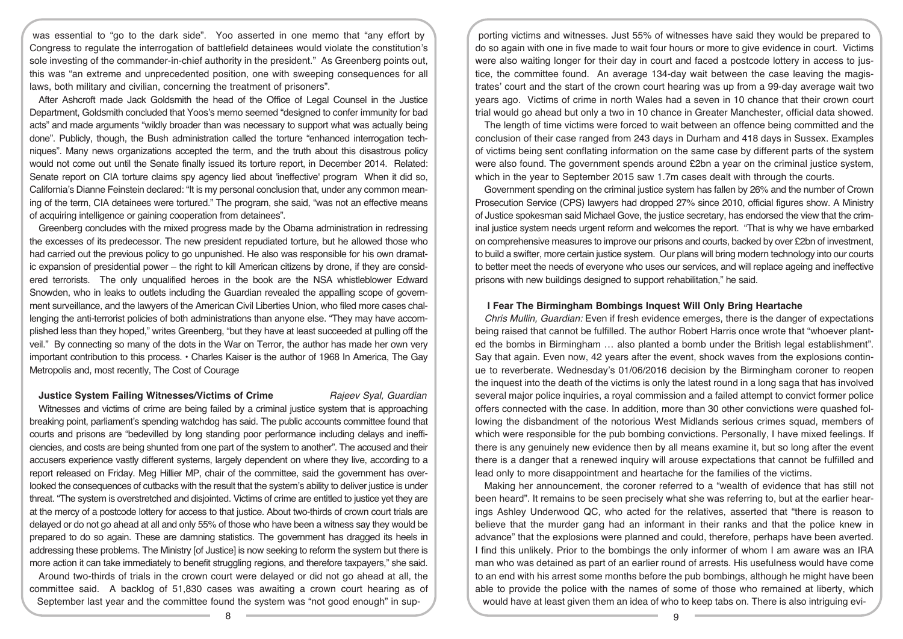was essential to "go to the dark side". Yoo asserted in one memo that "any effort by Congress to regulate the interrogation of battlefield detainees would violate the constitution's sole investing of the commander-in-chief authority in the president." As Greenberg points out, this was "an extreme and unprecedented position, one with sweeping consequences for all laws, both military and civilian, concerning the treatment of prisoners".

After Ashcroft made Jack Goldsmith the head of the Office of Legal Counsel in the Justice Department, Goldsmith concluded that Yoos's memo seemed "designed to confer immunity for bad acts" and made arguments "wildly broader than was necessary to support what was actually being done". Publicly, though, the Bush administration called the torture "enhanced interrogation techniques". Many news organizations accepted the term, and the truth about this disastrous policy would not come out until the Senate finally issued its torture report, in December 2014. Related: Senate report on CIA torture claims spy agency lied about 'ineffective' program When it did so, California's Dianne Feinstein declared: "It is my personal conclusion that, under any common meaning of the term, CIA detainees were tortured." The program, she said, "was not an effective means of acquiring intelligence or gaining cooperation from detainees".

Greenberg concludes with the mixed progress made by the Obama administration in redressing the excesses of its predecessor. The new president repudiated torture, but he allowed those who had carried out the previous policy to go unpunished. He also was responsible for his own dramatic expansion of presidential power – the right to kill American citizens by drone, if they are considered terrorists. The only unqualified heroes in the book are the NSA whistleblower Edward Snowden, who in leaks to outlets including the Guardian revealed the appalling scope of government surveillance, and the lawyers of the American Civil Liberties Union, who filed more cases challenging the anti-terrorist policies of both administrations than anyone else. "They may have accomplished less than they hoped," writes Greenberg, "but they have at least succeeded at pulling off the veil." By connecting so many of the dots in the War on Terror, the author has made her own very important contribution to this process. • Charles Kaiser is the author of 1968 In America, The Gay Metropolis and, most recently, The Cost of Courage

## **Justice System Failing Witnesses/Victims of Crime** *Rajeev Syal, Guardian*

Witnesses and victims of crime are being failed by a criminal justice system that is approaching breaking point, parliament's spending watchdog has said. The public accounts committee found that courts and prisons are "bedevilled by long standing poor performance including delays and inefficiencies, and costs are being shunted from one part of the system to another". The accused and their accusers experience vastly different systems, largely dependent on where they live, according to a report released on Friday. Meg Hillier MP, chair of the committee, said the government has overlooked the consequences of cutbacks with the result that the system's ability to deliver justice is under threat. "The system is overstretched and disjointed. Victims of crime are entitled to justice yet they are at the mercy of a postcode lottery for access to that justice. About two-thirds of crown court trials are delayed or do not go ahead at all and only 55% of those who have been a witness say they would be prepared to do so again. These are damning statistics. The government has dragged its heels in addressing these problems. The Ministry [of Justice] is now seeking to reform the system but there is more action it can take immediately to benefit struggling regions, and therefore taxpayers," she said.

Around two-thirds of trials in the crown court were delayed or did not go ahead at all, the committee said. A backlog of 51,830 cases was awaiting a crown court hearing as of September last year and the committee found the system was "not good enough" in sup-

porting victims and witnesses. Just 55% of witnesses have said they would be prepared to do so again with one in five made to wait four hours or more to give evidence in court. Victims were also waiting longer for their day in court and faced a postcode lottery in access to justice, the committee found. An average 134-day wait between the case leaving the magistrates' court and the start of the crown court hearing was up from a 99-day average wait two years ago. Victims of crime in north Wales had a seven in 10 chance that their crown court trial would go ahead but only a two in 10 chance in Greater Manchester, official data showed.

The length of time victims were forced to wait between an offence being committed and the conclusion of their case ranged from 243 days in Durham and 418 days in Sussex. Examples of victims being sent conflating information on the same case by different parts of the system were also found. The government spends around £2bn a year on the criminal justice system, which in the year to September 2015 saw 1.7m cases dealt with through the courts.

Government spending on the criminal justice system has fallen by 26% and the number of Crown Prosecution Service (CPS) lawyers had dropped 27% since 2010, official figures show. A Ministry of Justice spokesman said Michael Gove, the justice secretary, has endorsed the view that the criminal justice system needs urgent reform and welcomes the report. "That is why we have embarked on comprehensive measures to improve our prisons and courts, backed by over £2bn of investment, to build a swifter, more certain justice system. Our plans will bring modern technology into our courts to better meet the needs of everyone who uses our services, and will replace ageing and ineffective prisons with new buildings designed to support rehabilitation," he said.

## **I Fear The Birmingham Bombings Inquest Will Only Bring Heartache**

*Chris Mullin, Guardian:* Even if fresh evidence emerges, there is the danger of expectations being raised that cannot be fulfilled. The author Robert Harris once wrote that "whoever planted the bombs in Birmingham … also planted a bomb under the British legal establishment". Say that again. Even now, 42 years after the event, shock waves from the explosions continue to reverberate. Wednesday's 01/06/2016 decision by the Birmingham coroner to reopen the inquest into the death of the victims is only the latest round in a long saga that has involved several major police inquiries, a royal commission and a failed attempt to convict former police offers connected with the case. In addition, more than 30 other convictions were quashed following the disbandment of the notorious West Midlands serious crimes squad, members of which were responsible for the pub bombing convictions. Personally, I have mixed feelings. If there is any genuinely new evidence then by all means examine it, but so long after the event there is a danger that a renewed inquiry will arouse expectations that cannot be fulfilled and lead only to more disappointment and heartache for the families of the victims.

Making her announcement, the coroner referred to a "wealth of evidence that has still not been heard". It remains to be seen precisely what she was referring to, but at the earlier hearings Ashley Underwood QC, who acted for the relatives, asserted that "there is reason to believe that the murder gang had an informant in their ranks and that the police knew in advance" that the explosions were planned and could, therefore, perhaps have been averted. I find this unlikely. Prior to the bombings the only informer of whom I am aware was an IRA man who was detained as part of an earlier round of arrests. His usefulness would have come to an end with his arrest some months before the pub bombings, although he might have been able to provide the police with the names of some of those who remained at liberty, which would have at least given them an idea of who to keep tabs on. There is also intriguing evi-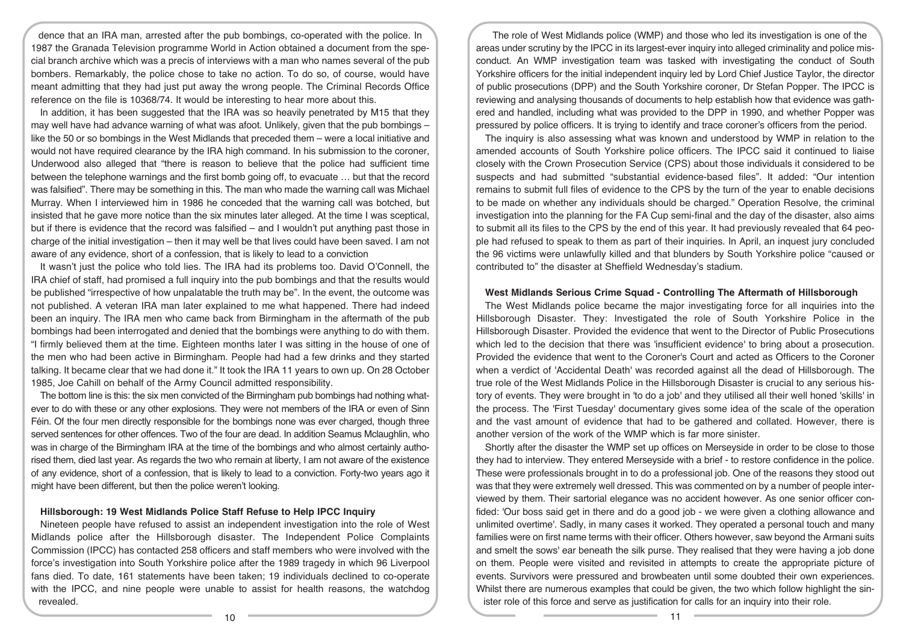dence that an IRA man, arrested after the pub bombings, co-operated with the police. In 1987 the Granada Television programme World in Action obtained a document from the special branch archive which was a precis of interviews with a man who names several of the pub bombers. Remarkably, the police chose to take no action. To do so, of course, would have meant admitting that they had just put away the wrong people. The Criminal Records Office reference on the file is 10368/74. It would be interesting to hear more about this.

In addition, it has been suggested that the IRA was so heavily penetrated by M15 that they may well have had advance warning of what was afoot. Unlikely, given that the pub bombings – like the 50 or so bombings in the West Midlands that preceded them – were a local initiative and would not have required clearance by the IRA high command. In his submission to the coroner, Underwood also alleged that "there is reason to believe that the police had sufficient time between the telephone warnings and the first bomb going off, to evacuate … but that the record was falsified". There may be something in this. The man who made the warning call was Michael Murray. When I interviewed him in 1986 he conceded that the warning call was botched, but insisted that he gave more notice than the six minutes later alleged. At the time I was sceptical, but if there is evidence that the record was falsified – and I wouldn't put anything past those in charge of the initial investigation – then it may well be that lives could have been saved. I am not aware of any evidence, short of a confession, that is likely to lead to a conviction

It wasn't just the police who told lies. The IRA had its problems too. David O'Connell, the IRA chief of staff, had promised a full inquiry into the pub bombings and that the results would be published "irrespective of how unpalatable the truth may be". In the event, the outcome was not published. A veteran IRA man later explained to me what happened. There had indeed been an inquiry. The IRA men who came back from Birmingham in the aftermath of the pub bombings had been interrogated and denied that the bombings were anything to do with them. "I firmly believed them at the time. Eighteen months later I was sitting in the house of one of the men who had been active in Birmingham. People had had a few drinks and they started talking. It became clear that we had done it." It took the IRA 11 years to own up. On 28 October 1985, Joe Cahill on behalf of the Army Council admitted responsibility.

The bottom line is this: the six men convicted of the Birmingham pub bombings had nothing whatever to do with these or any other explosions. They were not members of the IRA or even of Sinn Féin. Of the four men directly responsible for the bombings none was ever charged, though three served sentences for other offences. Two of the four are dead. In addition Seamus Mclaughlin, who was in charge of the Birmingham IRA at the time of the bombings and who almost certainly authorised them, died last year. As regards the two who remain at liberty, I am not aware of the existence of any evidence, short of a confession, that is likely to lead to a conviction. Forty-two years ago it might have been different, but then the police weren't looking.

#### **Hillsborough: 19 West Midlands Police Staff Refuse to Help IPCC Inquiry**

Nineteen people have refused to assist an independent investigation into the role of West Midlands police after the Hillsborough disaster. The Independent Police Complaints Commission (IPCC) has contacted 258 officers and staff members who were involved with the force's investigation into South Yorkshire police after the 1989 tragedy in which 96 Liverpool fans died. To date, 161 statements have been taken; 19 individuals declined to co-operate with the IPCC, and nine people were unable to assist for health reasons, the watchdog revealed.

The role of West Midlands police (WMP) and those who led its investigation is one of the areas under scrutiny by the IPCC in its largest-ever inquiry into alleged criminality and police misconduct. An WMP investigation team was tasked with investigating the conduct of South Yorkshire officers for the initial independent inquiry led by Lord Chief Justice Taylor, the director of public prosecutions (DPP) and the South Yorkshire coroner, Dr Stefan Popper. The IPCC is reviewing and analysing thousands of documents to help establish how that evidence was gathered and handled, including what was provided to the DPP in 1990, and whether Popper was pressured by police officers. It is trying to identify and trace coroner's officers from the period.

The inquiry is also assessing what was known and understood by WMP in relation to the amended accounts of South Yorkshire police officers. The IPCC said it continued to liaise closely with the Crown Prosecution Service (CPS) about those individuals it considered to be suspects and had submitted "substantial evidence-based files". It added: "Our intention remains to submit full files of evidence to the CPS by the turn of the year to enable decisions to be made on whether any individuals should be charged." Operation Resolve, the criminal investigation into the planning for the FA Cup semi-final and the day of the disaster, also aims to submit all its files to the CPS by the end of this year. It had previously revealed that 64 people had refused to speak to them as part of their inquiries. In April, an inquest jury concluded the 96 victims were unlawfully killed and that blunders by South Yorkshire police "caused or contributed to" the disaster at Sheffield Wednesday's stadium.

## **West Midlands Serious Crime Squad - Controlling The Aftermath of Hillsborough**

The West Midlands police became the major investigating force for all inquiries into the Hillsborough Disaster. They: Investigated the role of South Yorkshire Police in the Hillsborough Disaster. Provided the evidence that went to the Director of Public Prosecutions which led to the decision that there was 'insufficient evidence' to bring about a prosecution. Provided the evidence that went to the Coroner's Court and acted as Officers to the Coroner when a verdict of 'Accidental Death' was recorded against all the dead of Hillsborough. The true role of the West Midlands Police in the Hillsborough Disaster is crucial to any serious history of events. They were brought in 'to do a job' and they utilised all their well honed 'skills' in the process. The 'First Tuesday' documentary gives some idea of the scale of the operation and the vast amount of evidence that had to be gathered and collated. However, there is another version of the work of the WMP which is far more sinister.

Shortly after the disaster the WMP set up offices on Merseyside in order to be close to those they had to interview. They entered Merseyside with a brief - to restore confidence in the police. These were professionals brought in to do a professional job. One of the reasons they stood out was that they were extremely well dressed. This was commented on by a number of people interviewed by them. Their sartorial elegance was no accident however. As one senior officer confided: 'Our boss said get in there and do a good job - we were given a clothing allowance and unlimited overtime'. Sadly, in many cases it worked. They operated a personal touch and many families were on first name terms with their officer. Others however, saw beyond the Armani suits and smelt the sows' ear beneath the silk purse. They realised that they were having a job done on them. People were visited and revisited in attempts to create the appropriate picture of events. Survivors were pressured and browbeaten until some doubted their own experiences. Whilst there are numerous examples that could be given, the two which follow highlight the sinister role of this force and serve as justification for calls for an inquiry into their role.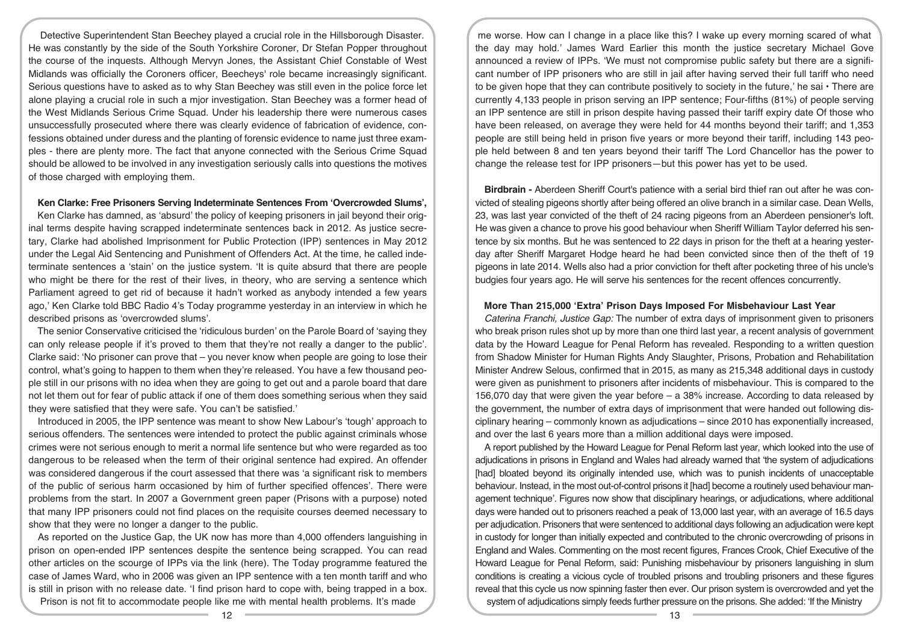Detective Superintendent Stan Beechey played a crucial role in the Hillsborough Disaster. He was constantly by the side of the South Yorkshire Coroner, Dr Stefan Popper throughout the course of the inquests. Although Mervyn Jones, the Assistant Chief Constable of West Midlands was officially the Coroners officer, Beecheys' role became increasingly significant. Serious questions have to asked as to why Stan Beechey was still even in the police force let alone playing a crucial role in such a mjor investigation. Stan Beechey was a former head of the West Midlands Serious Crime Squad. Under his leadership there were numerous cases unsuccessfully prosecuted where there was clearly evidence of fabrication of evidence, confessions obtained under duress and the planting of forensic evidence to name just three examples - there are plenty more. The fact that anyone connected with the Serious Crime Squad should be allowed to be involved in any investigation seriously calls into questions the motives of those charged with employing them.

#### **Ken Clarke: Free Prisoners Serving Indeterminate Sentences From 'Overcrowded Slums',**

Ken Clarke has damned, as 'absurd' the policy of keeping prisoners in jail beyond their original terms despite having scrapped indeterminate sentences back in 2012. As justice secretary, Clarke had abolished Imprisonment for Public Protection (IPP) sentences in May 2012 under the Legal Aid Sentencing and Punishment of Offenders Act. At the time, he called indeterminate sentences a 'stain' on the justice system. 'It is quite absurd that there are people who might be there for the rest of their lives, in theory, who are serving a sentence which Parliament agreed to get rid of because it hadn't worked as anybody intended a few years ago,' Ken Clarke told BBC Radio 4's Today programme yesterday in an interview in which he described prisons as 'overcrowded slums'.

The senior Conservative criticised the 'ridiculous burden' on the Parole Board of 'saying they can only release people if it's proved to them that they're not really a danger to the public'. Clarke said: 'No prisoner can prove that – you never know when people are going to lose their control, what's going to happen to them when they're released. You have a few thousand people still in our prisons with no idea when they are going to get out and a parole board that dare not let them out for fear of public attack if one of them does something serious when they said they were satisfied that they were safe. You can't be satisfied.'

Introduced in 2005, the IPP sentence was meant to show New Labour's 'tough' approach to serious offenders. The sentences were intended to protect the public against criminals whose crimes were not serious enough to merit a normal life sentence but who were regarded as too dangerous to be released when the term of their original sentence had expired. An offender was considered dangerous if the court assessed that there was 'a significant risk to members of the public of serious harm occasioned by him of further specified offences'. There were problems from the start. In 2007 a Government green paper (Prisons with a purpose) noted that many IPP prisoners could not find places on the requisite courses deemed necessary to show that they were no longer a danger to the public.

As reported on the Justice Gap, the UK now has more than 4,000 offenders languishing in prison on open-ended IPP sentences despite the sentence being scrapped. You can read other articles on the scourge of IPPs via the link (here). The Today programme featured the case of James Ward, who in 2006 was given an IPP sentence with a ten month tariff and who is still in prison with no release date. 'I find prison hard to cope with, being trapped in a box.

Prison is not fit to accommodate people like me with mental health problems. It's made

me worse. How can I change in a place like this? I wake up every morning scared of what the day may hold.' James Ward Earlier this month the justice secretary Michael Gove announced a review of IPPs. 'We must not compromise public safety but there are a significant number of IPP prisoners who are still in jail after having served their full tariff who need to be given hope that they can contribute positively to society in the future,' he sai • There are currently 4,133 people in prison serving an IPP sentence; Four-fifths (81%) of people serving an IPP sentence are still in prison despite having passed their tariff expiry date Of those who have been released, on average they were held for 44 months beyond their tariff; and 1,353 people are still being held in prison five years or more beyond their tariff, including 143 people held between 8 and ten years beyond their tariff The Lord Chancellor has the power to change the release test for IPP prisoners—but this power has yet to be used.

**Birdbrain -** Aberdeen Sheriff Court's patience with a serial bird thief ran out after he was convicted of stealing pigeons shortly after being offered an olive branch in a similar case. Dean Wells, 23, was last year convicted of the theft of 24 racing pigeons from an Aberdeen pensioner's loft. He was given a chance to prove his good behaviour when Sheriff William Taylor deferred his sentence by six months. But he was sentenced to 22 days in prison for the theft at a hearing yesterday after Sheriff Margaret Hodge heard he had been convicted since then of the theft of 19 pigeons in late 2014. Wells also had a prior conviction for theft after pocketing three of his uncle's budgies four years ago. He will serve his sentences for the recent offences concurrently.

#### **More Than 215,000 'Extra' Prison Days Imposed For Misbehaviour Last Year**

*Caterina Franchi, Justice Gap:* The number of extra days of imprisonment given to prisoners who break prison rules shot up by more than one third last year, a recent analysis of government data by the Howard League for Penal Reform has revealed. Responding to a written question from Shadow Minister for Human Rights Andy Slaughter, Prisons, Probation and Rehabilitation Minister Andrew Selous, confirmed that in 2015, as many as 215,348 additional days in custody were given as punishment to prisoners after incidents of misbehaviour. This is compared to the 156,070 day that were given the year before – a 38% increase. According to data released by the government, the number of extra days of imprisonment that were handed out following disciplinary hearing – commonly known as adjudications – since 2010 has exponentially increased, and over the last 6 years more than a million additional days were imposed.

A report published by the Howard League for Penal Reform last year, which looked into the use of adjudications in prisons in England and Wales had already warned that 'the system of adjudications [had] bloated beyond its originally intended use, which was to punish incidents of unacceptable behaviour. Instead, in the most out-of-control prisons it [had] become a routinely used behaviour management technique'. Figures now show that disciplinary hearings, or adjudications, where additional days were handed out to prisoners reached a peak of 13,000 last year, with an average of 16.5 days per adjudication. Prisoners that were sentenced to additional days following an adjudication were kept in custody for longer than initially expected and contributed to the chronic overcrowding of prisons in England and Wales. Commenting on the most recent figures, Frances Crook, Chief Executive of the Howard League for Penal Reform, said: Punishing misbehaviour by prisoners languishing in slum conditions is creating a vicious cycle of troubled prisons and troubling prisoners and these figures reveal that this cycle us now spinning faster then ever. Our prison system is overcrowded and yet the system of adjudications simply feeds further pressure on the prisons. She added: 'If the Ministry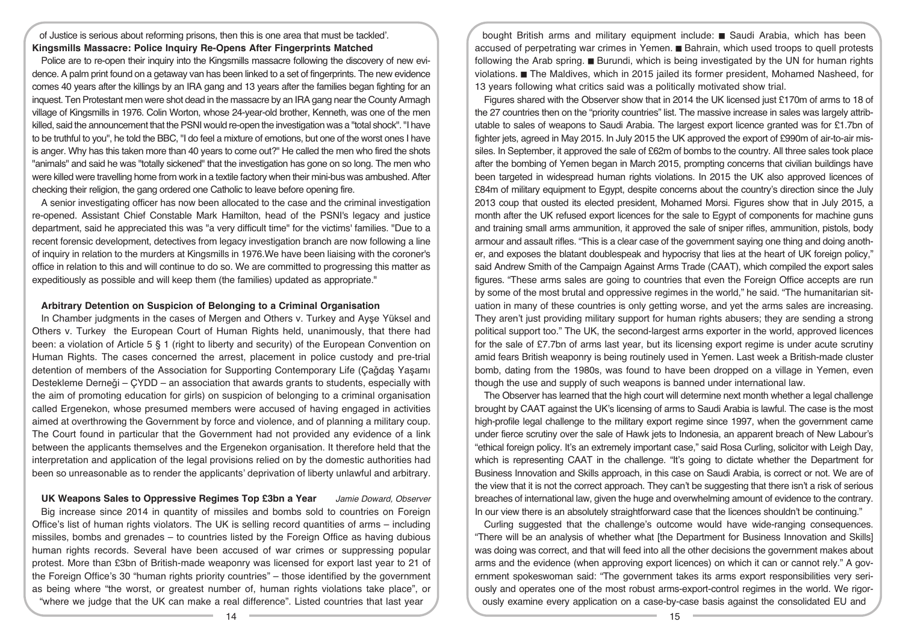of Justice is serious about reforming prisons, then this is one area that must be tackled'. **Kingsmills Massacre: Police Inquiry Re-Opens After Fingerprints Matched**

Police are to re-open their inquiry into the Kingsmills massacre following the discovery of new evidence. A palm print found on a getaway van has been linked to a set of fingerprints. The new evidence comes 40 years after the killings by an IRA gang and 13 years after the families began fighting for an inquest. Ten Protestant men were shot dead in the massacre by an IRA gang near the County Armagh village of Kingsmills in 1976. Colin Worton, whose 24-year-old brother, Kenneth, was one of the men killed, said the announcement that the PSNI would re-open the investigation was a "total shock". "I have to be truthful to you", he told the BBC, "I do feel a mixture of emotions, but one of the worst ones I have is anger. Why has this taken more than 40 years to come out?" He called the men who fired the shots "animals" and said he was "totally sickened" that the investigation has gone on so long. The men who were killed were travelling home from work in a textile factory when their mini-bus was ambushed. After checking their religion, the gang ordered one Catholic to leave before opening fire.

A senior investigating officer has now been allocated to the case and the criminal investigation re-opened. Assistant Chief Constable Mark Hamilton, head of the PSNI's legacy and justice department, said he appreciated this was "a very difficult time" for the victims' families. "Due to a recent forensic development, detectives from legacy investigation branch are now following a line of inquiry in relation to the murders at Kingsmills in 1976.We have been liaising with the coroner's office in relation to this and will continue to do so. We are committed to progressing this matter as expeditiously as possible and will keep them (the families) updated as appropriate."

#### **Arbitrary Detention on Suspicion of Belonging to a Criminal Organisation**

In Chamber judgments in the cases of Mergen and Others v. Turkey and Ayşe Yüksel and Others v. Turkey the European Court of Human Rights held, unanimously, that there had been: a violation of Article 5 § 1 (right to liberty and security) of the European Convention on Human Rights. The cases concerned the arrest, placement in police custody and pre-trial detention of members of the Association for Supporting Contemporary Life (Çaǧdaş Yaşamı Destekleme Derneği – CYDD – an association that awards grants to students, especially with the aim of promoting education for girls) on suspicion of belonging to a criminal organisation called Ergenekon, whose presumed members were accused of having engaged in activities aimed at overthrowing the Government by force and violence, and of planning a military coup. The Court found in particular that the Government had not provided any evidence of a link between the applicants themselves and the Ergenekon organisation. It therefore held that the interpretation and application of the legal provisions relied on by the domestic authorities had been so unreasonable as to render the applicants' deprivation of liberty unlawful and arbitrary.

**UK Weapons Sales to Oppressive Regimes Top £3bn a Year** *Jamie Doward, Observer* Big increase since 2014 in quantity of missiles and bombs sold to countries on Foreign Office's list of human rights violators. The UK is selling record quantities of arms – including missiles, bombs and grenades – to countries listed by the Foreign Office as having dubious human rights records. Several have been accused of war crimes or suppressing popular protest. More than £3bn of British-made weaponry was licensed for export last year to 21 of the Foreign Office's 30 "human rights priority countries" – those identified by the government as being where "the worst, or greatest number of, human rights violations take place", or "where we judge that the UK can make a real difference". Listed countries that last year

bought British arms and military equipment include: *■* Saudi Arabia, which has been accused of perpetrating war crimes in Yemen. *■* Bahrain, which used troops to quell protests following the Arab spring. *■* Burundi, which is being investigated by the UN for human rights violations. *■* The Maldives, which in 2015 jailed its former president, Mohamed Nasheed, for 13 years following what critics said was a politically motivated show trial.

Figures shared with the Observer show that in 2014 the UK licensed just £170m of arms to 18 of the 27 countries then on the "priority countries" list. The massive increase in sales was largely attributable to sales of weapons to Saudi Arabia. The largest export licence granted was for £1.7bn of fighter jets, agreed in May 2015. In July 2015 the UK approved the export of £990m of air-to-air missiles. In September, it approved the sale of £62m of bombs to the country. All three sales took place after the bombing of Yemen began in March 2015, prompting concerns that civilian buildings have been targeted in widespread human rights violations. In 2015 the UK also approved licences of £84m of military equipment to Egypt, despite concerns about the country's direction since the July 2013 coup that ousted its elected president, Mohamed Morsi. Figures show that in July 2015, a month after the UK refused export licences for the sale to Egypt of components for machine guns and training small arms ammunition, it approved the sale of sniper rifles, ammunition, pistols, body armour and assault rifles. "This is a clear case of the government saying one thing and doing another, and exposes the blatant doublespeak and hypocrisy that lies at the heart of UK foreign policy," said Andrew Smith of the Campaign Against Arms Trade (CAAT), which compiled the export sales figures. "These arms sales are going to countries that even the Foreign Office accepts are run by some of the most brutal and oppressive regimes in the world," he said. "The humanitarian situation in many of these countries is only getting worse, and yet the arms sales are increasing. They aren't just providing military support for human rights abusers; they are sending a strong political support too." The UK, the second-largest arms exporter in the world, approved licences for the sale of £7.7bn of arms last year, but its licensing export regime is under acute scrutiny amid fears British weaponry is being routinely used in Yemen. Last week a British-made cluster bomb, dating from the 1980s, was found to have been dropped on a village in Yemen, even though the use and supply of such weapons is banned under international law.

The Observer has learned that the high court will determine next month whether a legal challenge brought by CAAT against the UK's licensing of arms to Saudi Arabia is lawful. The case is the most high-profile legal challenge to the military export regime since 1997, when the government came under fierce scrutiny over the sale of Hawk jets to Indonesia, an apparent breach of New Labour's "ethical foreign policy. It's an extremely important case," said Rosa Curling, solicitor with Leigh Day, which is representing CAAT in the challenge. "It's going to dictate whether the Department for Business Innovation and Skills approach, in this case on Saudi Arabia, is correct or not. We are of the view that it is not the correct approach. They can't be suggesting that there isn't a risk of serious breaches of international law, given the huge and overwhelming amount of evidence to the contrary. In our view there is an absolutely straightforward case that the licences shouldn't be continuing."

Curling suggested that the challenge's outcome would have wide-ranging consequences. "There will be an analysis of whether what [the Department for Business Innovation and Skills] was doing was correct, and that will feed into all the other decisions the government makes about arms and the evidence (when approving export licences) on which it can or cannot rely." A government spokeswoman said: "The government takes its arms export responsibilities very seriously and operates one of the most robust arms-export-control regimes in the world. We rigorously examine every application on a case-by-case basis against the consolidated EU and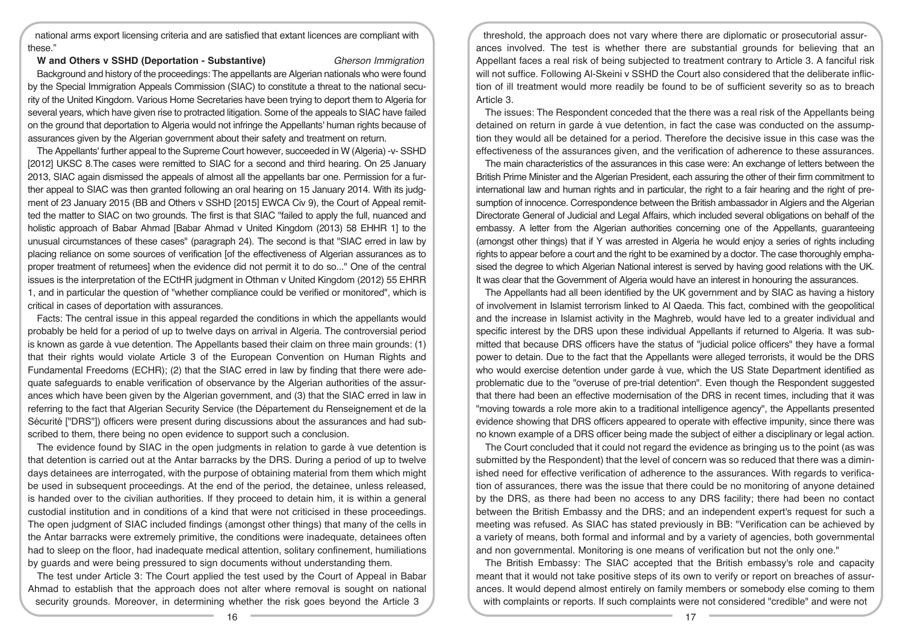national arms export licensing criteria and are satisfied that extant licences are compliant with these."

# **W and Others v SSHD (Deportation - Substantive)** *Gherson Immigration*

Background and history of the proceedings: The appellants are Algerian nationals who were found by the Special Immigration Appeals Commission (SIAC) to constitute a threat to the national security of the United Kingdom. Various Home Secretaries have been trying to deport them to Algeria for several years, which have given rise to protracted litigation. Some of the appeals to SIAC have failed on the ground that deportation to Algeria would not infringe the Appellants' human rights because of assurances given by the Algerian government about their safety and treatment on return.

The Appellants' further appeal to the Supreme Court however, succeeded in W (Algeria) -v- SSHD [2012] UKSC 8.The cases were remitted to SIAC for a second and third hearing. On 25 January 2013, SIAC again dismissed the appeals of almost all the appellants bar one. Permission for a further appeal to SIAC was then granted following an oral hearing on 15 January 2014. With its judgment of 23 January 2015 (BB and Others v SSHD [2015] EWCA Civ 9), the Court of Appeal remitted the matter to SIAC on two grounds. The first is that SIAC "failed to apply the full, nuanced and holistic approach of Babar Ahmad [Babar Ahmad v United Kingdom (2013) 58 EHHR 1] to the unusual circumstances of these cases" (paragraph 24). The second is that "SIAC erred in law by placing reliance on some sources of verification [of the effectiveness of Algerian assurances as to proper treatment of returnees] when the evidence did not permit it to do so..." One of the central issues is the interpretation of the ECtHR judgment in Othman v United Kingdom (2012) 55 EHRR 1, and in particular the question of "whether compliance could be verified or monitored", which is critical in cases of deportation with assurances.

Facts: The central issue in this appeal regarded the conditions in which the appellants would probably be held for a period of up to twelve days on arrival in Algeria. The controversial period is known as garde à vue detention. The Appellants based their claim on three main grounds: (1) that their rights would violate Article 3 of the European Convention on Human Rights and Fundamental Freedoms (ECHR); (2) that the SIAC erred in law by finding that there were adequate safeguards to enable verification of observance by the Algerian authorities of the assurances which have been given by the Algerian government, and (3) that the SIAC erred in law in referring to the fact that Algerian Security Service (the Département du Renseignement et de la Sécurité ["DRS"]) officers were present during discussions about the assurances and had subscribed to them, there being no open evidence to support such a conclusion.

The evidence found by SIAC in the open judgments in relation to garde à vue detention is that detention is carried out at the Antar barracks by the DRS. During a period of up to twelve days detainees are interrogated, with the purpose of obtaining material from them which might be used in subsequent proceedings. At the end of the period, the detainee, unless released, is handed over to the civilian authorities. If they proceed to detain him, it is within a general custodial institution and in conditions of a kind that were not criticised in these proceedings. The open judgment of SIAC included findings (amongst other things) that many of the cells in the Antar barracks were extremely primitive, the conditions were inadequate, detainees often had to sleep on the floor, had inadequate medical attention, solitary confinement, humiliations by guards and were being pressured to sign documents without understanding them.

The test under Article 3: The Court applied the test used by the Court of Appeal in Babar Ahmad to establish that the approach does not alter where removal is sought on national security grounds. Moreover, in determining whether the risk goes beyond the Article 3

threshold, the approach does not vary where there are diplomatic or prosecutorial assurances involved. The test is whether there are substantial grounds for believing that an Appellant faces a real risk of being subjected to treatment contrary to Article 3. A fanciful risk will not suffice. Following Al-Skeini v SSHD the Court also considered that the deliberate infliction of ill treatment would more readily be found to be of sufficient severity so as to breach Article 3.

The issues: The Respondent conceded that the there was a real risk of the Appellants being detained on return in garde à vue detention, in fact the case was conducted on the assumption they would all be detained for a period. Therefore the decisive issue in this case was the effectiveness of the assurances given, and the verification of adherence to these assurances.

The main characteristics of the assurances in this case were: An exchange of letters between the British Prime Minister and the Algerian President, each assuring the other of their firm commitment to international law and human rights and in particular, the right to a fair hearing and the right of presumption of innocence. Correspondence between the British ambassador in Algiers and the Algerian Directorate General of Judicial and Legal Affairs, which included several obligations on behalf of the embassy. A letter from the Algerian authorities concerning one of the Appellants, guaranteeing (amongst other things) that if Y was arrested in Algeria he would enjoy a series of rights including rights to appear before a court and the right to be examined by a doctor. The case thoroughly emphasised the degree to which Algerian National interest is served by having good relations with the UK. It was clear that the Government of Algeria would have an interest in honouring the assurances.

The Appellants had all been identified by the UK government and by SIAC as having a history of involvement in Islamist terrorism linked to Al Qaeda. This fact, combined with the geopolitical and the increase in Islamist activity in the Maghreb, would have led to a greater individual and specific interest by the DRS upon these individual Appellants if returned to Algeria. It was submitted that because DRS officers have the status of "judicial police officers" they have a formal power to detain. Due to the fact that the Appellants were alleged terrorists, it would be the DRS who would exercise detention under garde à vue, which the US State Department identified as problematic due to the "overuse of pre-trial detention". Even though the Respondent suggested that there had been an effective modernisation of the DRS in recent times, including that it was "moving towards a role more akin to a traditional intelligence agency", the Appellants presented evidence showing that DRS officers appeared to operate with effective impunity, since there was no known example of a DRS officer being made the subject of either a disciplinary or legal action.

The Court concluded that it could not regard the evidence as bringing us to the point (as was submitted by the Respondent) that the level of concern was so reduced that there was a diminished need for effective verification of adherence to the assurances. With regards to verification of assurances, there was the issue that there could be no monitoring of anyone detained by the DRS, as there had been no access to any DRS facility; there had been no contact between the British Embassy and the DRS; and an independent expert's request for such a meeting was refused. As SIAC has stated previously in BB: "Verification can be achieved by a variety of means, both formal and informal and by a variety of agencies, both governmental and non governmental. Monitoring is one means of verification but not the only one."

The British Embassy: The SIAC accepted that the British embassy's role and capacity meant that it would not take positive steps of its own to verify or report on breaches of assurances. It would depend almost entirely on family members or somebody else coming to them with complaints or reports. If such complaints were not considered "credible" and were not